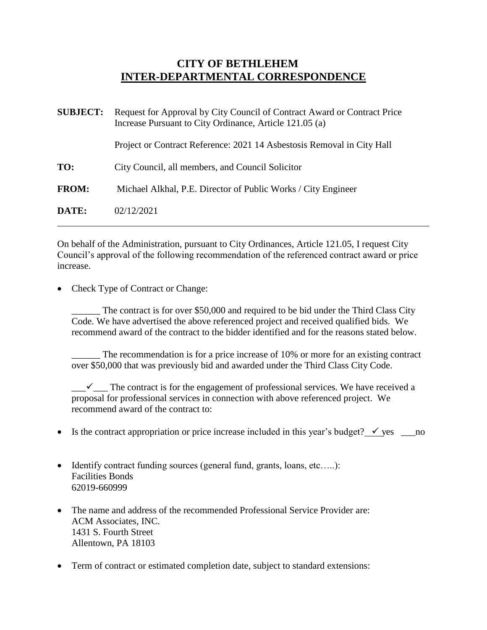## **CITY OF BETHLEHEM INTER-DEPARTMENTAL CORRESPONDENCE**

| <b>SUBJECT:</b> | Request for Approval by City Council of Contract Award or Contract Price<br>Increase Pursuant to City Ordinance, Article 121.05 (a) |
|-----------------|-------------------------------------------------------------------------------------------------------------------------------------|
|                 | Project or Contract Reference: 2021 14 Asbestosis Removal in City Hall                                                              |
| TO:             | City Council, all members, and Council Solicitor                                                                                    |
| <b>FROM:</b>    | Michael Alkhal, P.E. Director of Public Works / City Engineer                                                                       |
| DATE:           | 02/12/2021                                                                                                                          |

On behalf of the Administration, pursuant to City Ordinances, Article 121.05, I request City Council's approval of the following recommendation of the referenced contract award or price increase.

Check Type of Contract or Change:

The contract is for over \$50,000 and required to be bid under the Third Class City Code. We have advertised the above referenced project and received qualified bids. We recommend award of the contract to the bidder identified and for the reasons stated below.

The recommendation is for a price increase of 10% or more for an existing contract over \$50,000 that was previously bid and awarded under the Third Class City Code.

 $\overline{\phantom{a}}$  The contract is for the engagement of professional services. We have received a proposal for professional services in connection with above referenced project. We recommend award of the contract to:

- Is the contract appropriation or price increase included in this year's budget?  $\checkmark$  yes \_\_\_\_no
- Identify contract funding sources (general fund, grants, loans, etc.....): Facilities Bonds 62019-660999
- The name and address of the recommended Professional Service Provider are: ACM Associates, INC. 1431 S. Fourth Street Allentown, PA 18103
- Term of contract or estimated completion date, subject to standard extensions: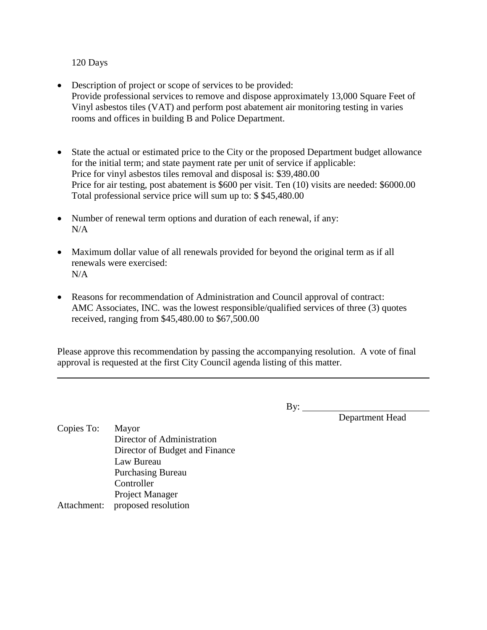## 120 Days

- Description of project or scope of services to be provided: Provide professional services to remove and dispose approximately 13,000 Square Feet of Vinyl asbestos tiles (VAT) and perform post abatement air monitoring testing in varies rooms and offices in building B and Police Department.
- State the actual or estimated price to the City or the proposed Department budget allowance for the initial term; and state payment rate per unit of service if applicable: Price for vinyl asbestos tiles removal and disposal is: \$39,480.00 Price for air testing, post abatement is \$600 per visit. Ten (10) visits are needed: \$6000.00 Total professional service price will sum up to: \$ \$45,480.00
- Number of renewal term options and duration of each renewal, if any:  $N/A$
- Maximum dollar value of all renewals provided for beyond the original term as if all renewals were exercised: N/A
- Reasons for recommendation of Administration and Council approval of contract: AMC Associates, INC. was the lowest responsible/qualified services of three (3) quotes received, ranging from \$45,480.00 to \$67,500.00

Please approve this recommendation by passing the accompanying resolution. A vote of final approval is requested at the first City Council agenda listing of this matter.

By:

By: Department Head

Copies To: Mayor Director of Administration Director of Budget and Finance Law Bureau Purchasing Bureau **Controller** Project Manager Attachment: proposed resolution